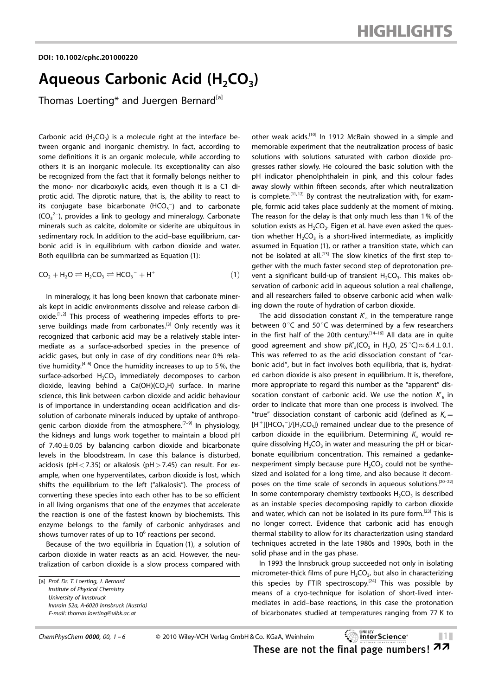## Aqueous Carbonic Acid  $(H_2CO_3)$

Thomas Loerting\* and Juergen Bernard<sup>[a]</sup>

Carbonic acid  $(H_2CO_3)$  is a molecule right at the interface between organic and inorganic chemistry. In fact, according to some definitions it is an organic molecule, while according to others it is an inorganic molecule. Its exceptionality can also be recognized from the fact that it formally belongs neither to the mono- nor dicarboxylic acids, even though it is a C1 diprotic acid. The diprotic nature, that is, the ability to react to its conjugate base bicarbonate  $(HCO<sub>3</sub><sup>-</sup>)$  and to carbonate  $(CO_3^2)$ , provides a link to geology and mineralogy. Carbonate minerals such as calcite, dolomite or siderite are ubiquitous in sedimentary rock. In addition to the acid–base equilibrium, carbonic acid is in equilibrium with carbon dioxide and water. Both equilibria can be summarized as Equation (1):

$$
CO2 + H2O \rightleftharpoons H2CO3 \rightleftharpoons HCO3- + H+
$$
 (1)

In mineralogy, it has long been known that carbonate minerals kept in acidic environments dissolve and release carbon dioxide.<sup>[1,2]</sup> This process of weathering impedes efforts to preserve buildings made from carbonates.<sup>[3]</sup> Only recently was it recognized that carbonic acid may be a relatively stable intermediate as a surface-adsorbed species in the presence of acidic gases, but only in case of dry conditions near 0% relative humidity.<sup> $[4-6]$ </sup> Once the humidity increases to up to 5%, the surface-adsorbed  $H_2CO_3$  immediately decomposes to carbon dioxide, leaving behind a  $Ca(OH)(CO<sub>3</sub>H)$  surface. In marine science, this link between carbon dioxide and acidic behaviour is of importance in understanding ocean acidification and dissolution of carbonate minerals induced by uptake of anthropogenic carbon dioxide from the atmosphere.<sup>[7-9]</sup> In physiology, the kidneys and lungs work together to maintain a blood pH of 7.40 $\pm$ 0.05 by balancing carbon dioxide and bicarbonate levels in the bloodstream. In case this balance is disturbed, acidosis (pH < 7.35) or alkalosis (pH > 7.45) can result. For example, when one hyperventilates, carbon dioxide is lost, which shifts the equilibrium to the left ("alkalosis"). The process of converting these species into each other has to be so efficient in all living organisms that one of the enzymes that accelerate the reaction is one of the fastest known by biochemists. This enzyme belongs to the family of carbonic anhydrases and shows turnover rates of up to  $10<sup>6</sup>$  reactions per second.

Because of the two equilibria in Equation (1), a solution of carbon dioxide in water reacts as an acid. However, the neutralization of carbon dioxide is a slow process compared with other weak acids.<sup>[10]</sup> In 1912 McBain showed in a simple and memorable experiment that the neutralization process of basic solutions with solutions saturated with carbon dioxide progresses rather slowly. He coloured the basic solution with the pH indicator phenolphthalein in pink, and this colour fades away slowly within fifteen seconds, after which neutralization is complete.<sup>[11,12]</sup> By contrast the neutralization with, for example, formic acid takes place suddenly at the moment of mixing. The reason for the delay is that only much less than 1% of the solution exists as  $H_2CO_3$ . Eigen et al. have even asked the question whether  $H_2CO_3$  is a short-lived intermediate, as implicitly assumed in Equation (1), or rather a transition state, which can not be isolated at all.<sup>[13]</sup> The slow kinetics of the first step together with the much faster second step of deprotonation prevent a significant build-up of transient  $H_2CO_3$ . This makes observation of carbonic acid in aqueous solution a real challenge, and all researchers failed to observe carbonic acid when walking down the route of hydration of carbon dioxide.

The acid dissociation constant  $K_a$  in the temperature range between  $0^{\circ}$ C and 50 $^{\circ}$ C was determined by a few researchers in the first half of the 20th century.<sup> $[14-19]$ </sup> All data are in quite good agreement and show  $pK'_{a}(CO_{2})$  in H<sub>2</sub>O, 25 °C) $\approx$  6.4  $\pm$  0.1. This was referred to as the acid dissociation constant of "carbonic acid", but in fact involves both equilibria, that is, hydrated carbon dioxide is also present in equilibrium. It is, therefore, more appropriate to regard this number as the "apparent" dissocation constant of carbonic acid. We use the notion  $K_{a}$  in order to indicate that more than one process is involved. The "true" dissociation constant of carbonic acid (defined as  $K_a=$  $[H^+][HCO_3^-]/[H_2CO_3]$ ) remained unclear due to the presence of carbon dioxide in the equilibrium. Determining  $K_a$  would require dissolving  $H_2CO_3$  in water and measuring the pH or bicarbonate equilibrium concentration. This remained a gedankenexperiment simply because pure  $H_2CO_3$  could not be synthesized and isolated for a long time, and also because it decomposes on the time scale of seconds in aqueous solutions.[20–22] In some contemporary chemistry textbooks  $H_2CO_3$  is described as an instable species decomposing rapidly to carbon dioxide and water, which can not be isolated in its pure form.[23] This is no longer correct. Evidence that carbonic acid has enough thermal stability to allow for its characterization using standard techniques accreted in the late 1980s and 1990s, both in the solid phase and in the gas phase.

In 1993 the Innsbruck group succeeded not only in isolating micrometer-thick films of pure  $H_2CO_{3}$ , but also in characterizing this species by FTIR spectroscopy.<sup>[24]</sup> This was possible by means of a cryo-technique for isolation of short-lived intermediates in acid–base reactions, in this case the protonation of bicarbonates studied at temperatures ranging from 77 K to

| ChemPhysChem $0000$ , 00, 1-6 |  |  | C |
|-------------------------------|--|--|---|
|-------------------------------|--|--|---|

2010 Wiley-VCH Verlag GmbH & Co. KGaA, Weinheim &1&

These are not the final page numbers!  $22$ 

<sup>[</sup>a] Prof. Dr. T. Loerting, J. Bernard Institute of Physical Chemistry University of Innsbruck Innrain 52a, A-6020 Innsbruck (Austria) E-mail: thomas.loerting@uibk.ac.at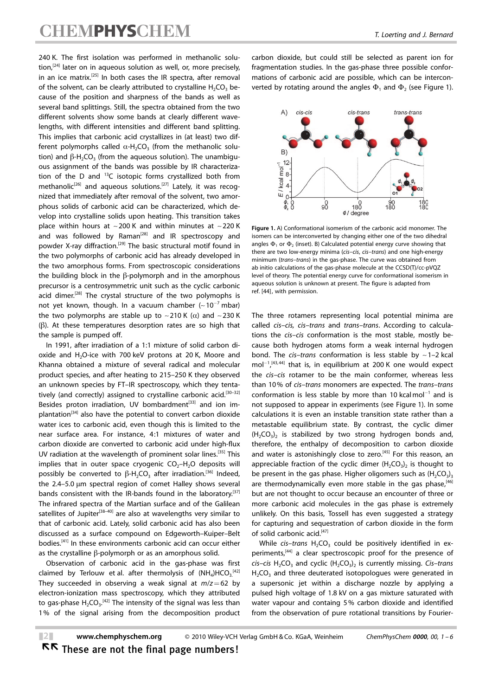240 K. The first isolation was performed in methanolic solution,<sup>[24]</sup> later on in aqueous solution as well, or, more precisely, in an ice matrix.<sup>[25]</sup> In both cases the IR spectra, after removal of the solvent, can be clearly attributed to crystalline  $H_2CO_3$  because of the position and sharpness of the bands as well as several band splittings. Still, the spectra obtained from the two different solvents show some bands at clearly different wavelengths, with different intensities and different band splitting. This implies that carbonic acid crystallizes in (at least) two different polymorphs called  $\alpha$ -H<sub>2</sub>CO<sub>3</sub> (from the methanolic solution) and  $\beta$ -H<sub>2</sub>CO<sub>3</sub> (from the aqueous solution). The unambiguous assignment of the bands was possible by IR characterization of the D and  $^{13}$ C isotopic forms crystallized both from methanolic<sup>[26]</sup> and aqueous solutions.<sup>[27]</sup> Lately, it was recognized that immediately after removal of the solvent, two amorphous solids of carbonic acid can be characterized, which develop into crystalline solids upon heating. This transition takes place within hours at  $\sim$  200 K and within minutes at  $\sim$  220 K and was followed by  $Raman^{[28]}$  and IR spectroscopy and powder X-ray diffraction.<sup>[29]</sup> The basic structural motif found in the two polymorphs of carbonic acid has already developed in the two amorphous forms. From spectroscopic considerations the building block in the  $\beta$ -polymorph and in the amorphous precursor is a centrosymmetric unit such as the cyclic carbonic acid dimer.<sup>[28]</sup> The crystal structure of the two polymophs is not yet known, though. In a vacuum chamber  $(-10^{-7}$  mbar) the two polymorphs are stable up to  $\sim$  210 K ( $\alpha$ ) and  $\sim$  230 K  $(\beta)$ . At these temperatures desorption rates are so high that the sample is pumped off.

In 1991, after irradiation of a 1:1 mixture of solid carbon dioxide and H<sub>2</sub>O-ice with 700 keV protons at 20 K, Moore and Khanna obtained a mixture of several radical and molecular product species, and after heating to 215–250 K they observed an unknown species by FT–IR spectroscopy, which they tentatively (and correctly) assigned to crystalline carbonic acid.<sup>[30–32]</sup> Besides proton irradiation, UV bombardment<sup>[33]</sup> and ion implantation<sup>[34]</sup> also have the potential to convert carbon dioxide water ices to carbonic acid, even though this is limited to the near surface area. For instance, 4:1 mixtures of water and carbon dioxide are converted to carbonic acid under high-flux UV radiation at the wavelength of prominent solar lines.<sup>[35]</sup> This implies that in outer space cryogenic  $CO<sub>2</sub>-H<sub>2</sub>O$  deposits will possibly be converted to  $\beta$ -H<sub>2</sub>CO<sub>3</sub> after irradiation.<sup>[36]</sup> Indeed, the  $2.4-5.0 \mu m$  spectral region of comet Halley shows several bands consistent with the IR-bands found in the laboratory.<sup>[37]</sup> The infrared spectra of the Martian surface and of the Galilean satellites of Jupiter<sup>[38-40]</sup> are also at wavelengths very similar to that of carbonic acid. Lately, solid carbonic acid has also been discussed as a surface compound on Edgeworth–Kuiper–Belt bodies.[41] In these environments carbonic acid can occur either as the crystalline  $\beta$ -polymorph or as an amorphous solid.

Observation of carbonic acid in the gas-phase was first claimed by Terlouw et al. after thermolysis of  $(NH_4)HCO_3$ <sup>[42]</sup> They succeeded in observing a weak signal at  $m/z=62$  by electron-ionization mass spectroscopy, which they attributed to gas-phase  $H_2CO_3$ .<sup>[42]</sup> The intensity of the signal was less than 1% of the signal arising from the decomposition product

carbon dioxide, but could still be selected as parent ion for fragmentation studies. In the gas-phase three possible conformations of carbonic acid are possible, which can be interconverted by rotating around the angles  $\Phi_1$  and  $\Phi_2$  (see Figure 1).



Figure 1. A) Conformational isomerism of the carbonic acid monomer. The isomers can be interconverted by changing either one of the two dihedral angles  $\Phi$ , or  $\Phi$ , (inset). B) Calculated potential energy curve showing that there are two low-energy minima (cis–cis, cis–trans) and one high-energy minimum (trans–trans) in the gas-phase. The curve was obtained from ab initio calculations of the gas-phase molecule at the CCSD(T)/cc-pVQZ level of theory. The potential energy curve for conformational isomerism in aqueous solution is unknown at present. The figure is adapted from ref. [44], with permission.

The three rotamers representing local potential minima are called cis–cis, cis–trans and trans–trans. According to calculations the cis–cis conformation is the most stable, mostly because both hydrogen atoms form a weak internal hydrogen bond. The *cis-trans* conformation is less stable by  $\sim$  1-2 kcal mol<sup>-1</sup>,<sup>[43,44]</sup> that is, in equilibrium at 200 K one would expect the cis–cis rotamer to be the main conformer, whereas less than 10% of cis–trans monomers are expected. The trans–trans conformation is less stable by more than 10 kcalmol<sup>-1</sup> and is not supposed to appear in experiments (see Figure 1). In some calculations it is even an instable transition state rather than a metastable equilibrium state. By contrast, the cyclic dimer  $(H_2CO_3)$  is stabilized by two strong hydrogen bonds and, therefore, the enthalpy of decomposition to carbon dioxide and water is astonishingly close to zero.<sup>[45]</sup> For this reason, an appreciable fraction of the cyclic dimer  $(H_2CO_3)_2$  is thought to be present in the gas phase. Higher oligomers such as  $(H_2CO_3)_3$ are thermodynamically even more stable in the gas phase,  $[46]$ but are not thought to occur because an encounter of three or more carbonic acid molecules in the gas phase is extremely unlikely. On this basis, Tossell has even suggested a strategy for capturing and sequestration of carbon dioxide in the form of solid carbonic acid.<sup>[47]</sup>

While cis-trans  $H_2CO_3$  could be positively identified in experiments,<sup>[44]</sup> a clear spectroscopic proof for the presence of cis–cis H<sub>2</sub>CO<sub>3</sub> and cyclic (H<sub>2</sub>CO<sub>3</sub>)<sub>2</sub> is currently missing. Cis–trans  $H<sub>2</sub>CO<sub>3</sub>$  and three deuterated isotopologues were generated in a supersonic jet within a discharge nozzle by applying a pulsed high voltage of 1.8 kV on a gas mixture saturated with water vapour and containg 5% carbon dioxide and identified from the observation of pure rotational transitions by Fourier-

## RR These are not the final page numbers!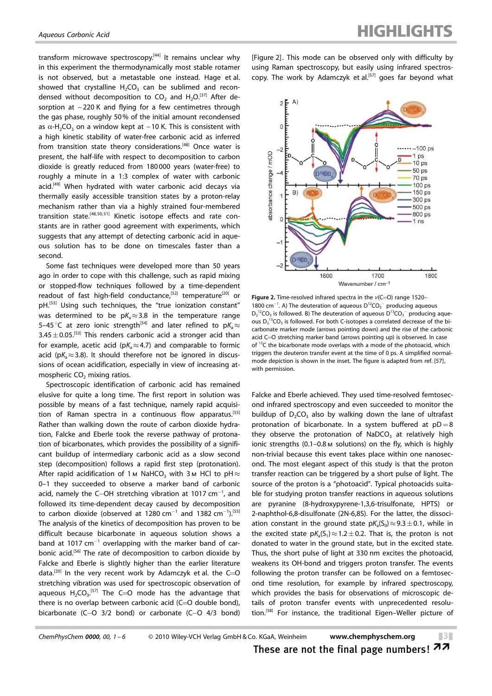transform microwave spectroscopy.<sup>[44]</sup> It remains unclear why in this experiment the thermodynamically most stable rotamer is not observed, but a metastable one instead. Hage et al. showed that crystalline  $H_2CO_3$  can be sublimed and recondensed without decomposition to  $CO<sub>2</sub>$  and  $H<sub>2</sub>O<sub>2</sub><sup>[37]</sup>$  After desorption at ~220 K and flying for a few centimetres through the gas phase, roughly 50% of the initial amount recondensed as  $\alpha$ -H<sub>2</sub>CO<sub>3</sub> on a window kept at ~10 K. This is consistent with a high kinetic stability of water-free carbonic acid as inferred from transition state theory considerations.<sup>[48]</sup> Once water is present, the half-life with respect to decomposition to carbon dioxide is greatly reduced from 180 000 years (water-free) to roughly a minute in a 1:3 complex of water with carbonic acid.<sup>[49]</sup> When hydrated with water carbonic acid decays via thermally easily accessible transition states by a proton-relay mechanism rather than via a highly strained four-membered transition state.<sup>[48, 50, 51]</sup> Kinetic isotope effects and rate constants are in rather good agreement with experiments, which suggests that any attempt of detecting carbonic acid in aqueous solution has to be done on timescales faster than a second.

Some fast techniques were developed more than 50 years ago in order to cope with this challenge, such as rapid mixing or stopped-flow techniques followed by a time-dependent readout of fast high-field conductance,<sup>[52]</sup> temperature<sup>[20]</sup> or pH.<sup>[53]</sup> Using such techniques, the "true ionization constant" was determined to be  $pK_a \approx 3.8$  in the temperature range 5-45 °C at zero ionic strength<sup>[54]</sup> and later refined to  $pK_a \approx$  $3.45\pm0.05$ .<sup>[53]</sup> This renders carbonic acid a stronger acid than for example, acetic acid ( $pK_a \approx 4.7$ ) and comparable to formic acid ( $pK_a \approx 3.8$ ). It should therefore not be ignored in discussions of ocean acidification, especially in view of increasing atmospheric  $CO<sub>2</sub>$  mixing ratios.

Spectroscopic identification of carbonic acid has remained elusive for quite a long time. The first report in solution was possible by means of a fast technique, namely rapid acquisition of Raman spectra in a continuous flow apparatus.<sup>[55]</sup> Rather than walking down the route of carbon dioxide hydration, Falcke and Eberle took the reverse pathway of protonation of bicarbonates, which provides the possibility of a significant buildup of intermediary carbonic acid as a slow second step (decomposition) follows a rapid first step (protonation). After rapid acidification of 1  $\times$  NaHCO<sub>3</sub> with 3  $\times$  HCl to pH $\approx$ 0–1 they succeeded to observe a marker band of carbonic acid, namely the C-OH stretching vibration at 1017 cm $^{-1}$ , and followed its time-dependent decay caused by decomposition to carbon dioxide (observed at 1280 cm<sup>-1</sup> and 1382 cm<sup>-1</sup>).<sup>[55]</sup> The analysis of the kinetics of decomposition has proven to be difficult because bicarbonate in aqueous solution shows a band at 1017  $cm^{-1}$  overlapping with the marker band of carbonic acid.<sup>[56]</sup> The rate of decomposition to carbon dioxide by Falcke and Eberle is slightly higher than the earlier literature data.<sup>[20]</sup> In the very recent work by Adamczyk et al. the  $C=O$ stretching vibration was used for spectroscopic observation of aqueous  $H_2CO_3$ .<sup>[57]</sup> The C=O mode has the advantage that there is no overlap between carbonic acid  $(C=0)$  double bond), bicarbonate (C-O 3/2 bond) or carbonate (C-O 4/3 bond)

[Figure 2]. This mode can be observed only with difficulty by using Raman spectroscopy, but easily using infrared spectroscopy. The work by Adamczyk et al.<sup>[57]</sup> goes far beyond what



**Figure 2.** Time-resolved infrared spectra in the  $\nu$ (C=O) range 1520– 1800 cm<sup>-1</sup>. A) The deuteration of aqueous  $D^{12}CO_3^-$  producing aqueous  $D_2$ <sup>12</sup>CO<sub>3</sub> is followed. B) The deuteration of aqueous  $D^{13}CO_3^-$  producing aqueous  $D_2$ <sup>13</sup>CO<sub>3</sub> is followed. For both C-isotopes a correlated decrease of the bicarbonate marker mode (arrows pointing down) and the rise of the carbonic acid C=O stretching marker band (arrows pointing up) is observed. In case of  $^{13}$ C the bicarbonate mode overlaps with a mode of the photoacid, which triggers the deuteron transfer event at the time of 0 ps. A simplified normalmode depiction is shown in the inset. The figure is adapted from ref. [57], with permission.

Falcke and Eberle achieved. They used time-resolved femtosecond infrared spectroscopy and even succeeded to monitor the buildup of  $D_2CO_3$  also by walking down the lane of ultrafast protonation of bicarbonate. In a system buffered at  $pD=8$ they observe the protonation of NaDCO<sub>3</sub> at relatively high ionic strengths (0.1–0.8m solutions) on the fly, which is highly non-trivial because this event takes place within one nanosecond. The most elegant aspect of this study is that the proton transfer reaction can be triggered by a short pulse of light. The source of the proton is a "photoacid". Typical photoacids suitable for studying proton transfer reactions in aqueous solutions are pyranine (8-hydroxypyrene-1,3,6-trisulfonate, HPTS) or 2-naphthol-6,8-disulfonate (2N-6,8S). For the latter, the dissociation constant in the ground state  $pK_a(S_0) \approx 9.3 \pm 0.1$ , while in the excited state  $pK_a(S_1) \approx 1.2 \pm 0.2$ . That is, the proton is not donated to water in the ground state, but in the excited state. Thus, the short pulse of light at 330 nm excites the photoacid, weakens its OH-bond and triggers proton transfer. The events following the proton transfer can be followed on a femtosecond time resolution, for example by infrared spectroscopy, which provides the basis for observations of microscopic details of proton transfer events with unprecedented resolution.[58] For instance, the traditional Eigen–Weller picture of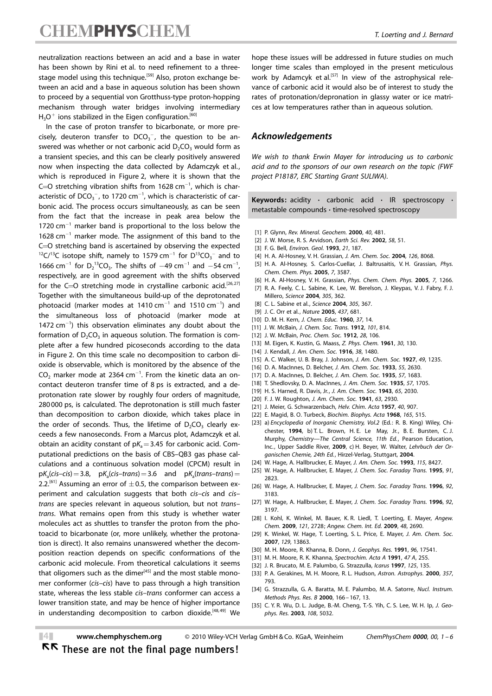neutralization reactions between an acid and a base in water has been shown by Rini et al. to need refinement to a threestage model using this technique.<sup>[59]</sup> Also, proton exchange between an acid and a base in aqueous solution has been shown to proceed by a sequential von Grotthuss-type proton-hopping mechanism through water bridges involving intermediary  $H_3O^+$  ions stabilized in the Eigen configuration.<sup>[60]</sup>

In the case of proton transfer to bicarbonate, or more precisely, deuteron transfer to  $DCO_3^-$ , the question to be answered was whether or not carbonic acid  $D_2CO_3$  would form as a transient species, and this can be clearly positively answered now when inspecting the data collected by Adamczyk et al., which is reproduced in Figure 2, where it is shown that the C= $O$  stretching vibration shifts from 1628 cm $^{-1}$ , which is characteristic of  $DCO_3^-$ , to 1720 cm $^{-1}$ , which is characteristic of carbonic acid. The process occurs simultaneously, as can be seen from the fact that the increase in peak area below the  $1720$  cm<sup>-1</sup> marker band is proportional to the loss below the 1628 cm-<sup>1</sup> marker mode. The assignment of this band to the C=O stretching band is ascertained by observing the expected  $^{12}C/^{13}C$  isotope shift, namely to 1579 cm<sup>-1</sup> for  $D^{13}CO_3^-$  and to 1666 cm<sup>-1</sup> for  $D_2$ <sup>13</sup>CO<sub>3</sub>. The shifts of  $-49$  cm<sup>-1</sup> and  $-54$  cm<sup>-1</sup>, respectively, are in good agreement with the shifts observed for the  $C=O$  stretching mode in crystalline carbonic acid.<sup>[26,27]</sup> Together with the simultaneous build-up of the deprotonated photoacid (marker modes at 1410  $cm^{-1}$  and 1510  $cm^{-1}$ ) and the simultaneous loss of photoacid (marker mode at  $1472$  cm<sup>-1</sup>) this observation eliminates any doubt about the formation of  $D_2CO_3$  in aqueous solution. The formation is complete after a few hundred picoseconds according to the data in Figure 2. On this time scale no decomposition to carbon dioxide is observable, which is monitored by the absence of the  $CO<sub>2</sub>$  marker mode at 2364 cm<sup>-1</sup>. From the kinetic data an oncontact deuteron transfer time of 8 ps is extracted, and a deprotonation rate slower by roughly four orders of magnitude, 280 000 ps, is calculated. The deprotonation is still much faster than decomposition to carbon dioxide, which takes place in the order of seconds. Thus, the lifetime of  $D_2CO_3$  clearly exceeds a few nanoseconds. From a Marcus plot, Adamczyk et al. obtain an acidity constant of  $pK_a = 3.45$  for carbonic acid. Computational predictions on the basis of CBS–QB3 gas phase calculations and a continuous solvation model (CPCM) result in  $pK_a(cis-cis)=3.8$ ,  $pK_a(cis-trans) = 3.6$  and  $pK_a(trans-trans) =$ 2.2.<sup>[61]</sup> Assuming an error of  $\pm$  0.5, the comparison between experiment and calculation suggests that both cis–cis and cis– trans are species relevant in aqueous solution, but not trans– trans. What remains open from this study is whether water molecules act as shuttles to transfer the proton from the photoacid to bicarbonate (or, more unlikely, whether the protonation is direct). It also remains unanswered whether the decomposition reaction depends on specific conformations of the carbonic acid molecule. From theoretical calculations it seems that oligomers such as the dimer<sup>[45]</sup> and the most stable monomer conformer (cis–cis) have to pass through a high transition state, whereas the less stable cis–trans conformer can access a lower transition state, and may be hence of higher importance in understanding decomposition to carbon dioxide.<sup>[48,49]</sup> We

hope these issues will be addressed in future studies on much longer time scales than employed in the present meticulous work by Adamcyk et al.<sup>[57]</sup> In view of the astrophysical relevance of carbonic acid it would also be of interest to study the rates of protonation/depronation in glassy water or ice matrices at low temperatures rather than in aqueous solution.

## Acknowledgements

We wish to thank Erwin Mayer for introducing us to carbonic acid and to the sponsors of our own research on the topic (FWF project P18187, ERC Starting Grant SULIWA).

Keywords: acidity  $\cdot$  carbonic acid  $\cdot$  IR spectroscopy metastable compounds · time-resolved spectroscopy

- [1] P. Glynn, Rev. Mineral. Geochem. 2000, 40, 481.
- [2] J. W. Morse, R. S. Arvidson, [Earth Sci. Rev.](http://dx.doi.org/10.1016/S0012-8252(01)00083-6) 2002, 58, 51.
- [3] F. G. Bell, [Environ. Geol.](http://dx.doi.org/10.1007/BF00775905) 1993, 21, 187.
- [4] H. A. Al-Hosney, V. H. Grassian, [J. Am. Chem. Soc.](http://dx.doi.org/10.1021/ja0490774) 2004, 126, 8068.
- [5] H. A. Al-Hosney, S. Carlos-Cuellar, J. Baltrusaitis, V. H. Grassian, [Phys.](http://dx.doi.org/10.1039/b510112c) [Chem. Chem. Phys.](http://dx.doi.org/10.1039/b510112c) 2005, 7, 3587.
- [6] H. A. Al-Hosney, V. H. Grassian, *[Phys. Chem. Chem. Phys.](http://dx.doi.org/10.1039/b417872f)* 2005, 7, 1266.
- [7] R. A. Feely, C. L. Sabine, K. Lee, W. Berelson, J. Kleypas, V. J. Fabry, F. J. Millero, [Science](http://dx.doi.org/10.1126/science.1097329) 2004, 305, 362.
- [8] C. L. Sabine et al., [Science](http://dx.doi.org/10.1126/science.1097403) 2004, 305, 367.
- [9] J. C. Orr et al., Nature 2005, 437, 681.
- [10] D. M. H. Kern, [J. Chem. Educ.](http://dx.doi.org/10.1021/ed037p14) 1960, 37, 14.
- [11] J. W. McBain, [J. Chem. Soc. Trans.](http://dx.doi.org/10.1039/ct9120100814) 1912, 101, 814.
- [12] J. W. McBain, Proc. Chem. Soc. 1912, 28, 106.
- [13] M. Eigen, K. Kustin, G. Maass, Z. Phys. Chem. 1961, 30, 130.
- [14] J. Kendall, [J. Am. Chem. Soc.](http://dx.doi.org/10.1021/ja02265a004) 1916, 38, 1480.
- [15] A. C. Walker, U. B. Bray, J. Johnson, [J. Am. Chem. Soc.](http://dx.doi.org/10.1021/ja01404a013) 1927, 49, 1235.
- [16] D. A. MacInnes, D. Belcher, [J. Am. Chem. Soc.](http://dx.doi.org/10.1021/ja01334a003) 1933, 55, 2630.
- [17] D. A. MacInnes, D. Belcher, [J. Am. Chem. Soc.](http://dx.doi.org/10.1021/ja01312a056) 1935, 57, 1683.
- [18] T. Shedlovsky, D. A. MacInnes, [J. Am. Chem. Soc.](http://dx.doi.org/10.1021/ja01312a064) 1935, 57, 1705.
- [19] H. S. Harned, R. Davis, Jr., [J. Am. Chem. Soc.](http://dx.doi.org/10.1021/ja01250a059) 1943, 65, 2030.
- [20] F. J. W. Roughton, [J. Am. Chem. Soc.](http://dx.doi.org/10.1021/ja01856a018) 1941, 63, 2930.
- [21] J. Meier, G. Schwarzenbach, [Helv. Chim. Acta](http://dx.doi.org/10.1002/hlca.19570400405) 1957, 40, 907.
- [22] E. Magid, B. O. Turbeck, Biochim. Biophys. Acta 1968, 165, 515.
- [23] a) Encyclopedia of Inorganic Chemistry, Vol.2 (Ed.: R. B. King) Wiley, Chichester, 1994, b) T. L. Brown, H. E. Le May, Jr., B. E. Bursten, C. J. Murphy, Chemistry—The Central Science, 11th Ed., Pearson Education, Inc., Upper Saddle River, 2009, c) H. Beyer, W. Walter, Lehrbuch der Organischen Chemie, 24th Ed., Hirzel-Verlag, Stuttgart, 2004.
- [24] W. Hage, A. Hallbrucker, E. Mayer, [J. Am. Chem. Soc.](http://dx.doi.org/10.1021/ja00071a061) 1993, 115, 8427.
- [25] W. Hage, A. Hallbrucker, E. Mayer, [J. Chem. Soc. Faraday Trans.](http://dx.doi.org/10.1039/ft9959102823) 1995, 91, [2823.](http://dx.doi.org/10.1039/ft9959102823)
- [26] W. Hage, A. Hallbrucker, E. Mayer, [J. Chem. Soc. Faraday Trans.](http://dx.doi.org/10.1039/ft9969203183) 1996, 92, [3183.](http://dx.doi.org/10.1039/ft9969203183)
- [27] W. Hage, A. Hallbrucker, E. Mayer, [J. Chem. Soc. Faraday Trans.](http://dx.doi.org/10.1039/ft9969203197) 1996, 92, [3197.](http://dx.doi.org/10.1039/ft9969203197)
- [28] I. Kohl, K. Winkel, M. Bauer, K. R. Liedl, T. Loerting, E. Mayer, [Angew.](http://dx.doi.org/10.1002/ange.200805300) Chem. 2009, 121[, 2728](http://dx.doi.org/10.1002/ange.200805300); [Angew. Chem. Int. Ed.](http://dx.doi.org/10.1002/anie.200805300) 2009, 48, 2690.
- [29] K. Winkel, W. Hage, T. Loerting, S. L. Price, E. Mayer, [J. Am. Chem. Soc.](http://dx.doi.org/10.1021/ja073594f) 2007, 129[, 13863](http://dx.doi.org/10.1021/ja073594f).
- [30] M. H. Moore, R. Khanna, B. Donn, [J. Geophys. Res.](http://dx.doi.org/10.1029/91JE01682) 1991, 96, 17541.
- [31] M. H. Moore, R. K. Khanna, [Spectrochim. Acta A](http://dx.doi.org/10.1016/0584-8539(91)80097-3) 1991, 47 A, 255.
- [32] J. R. Brucato, M. E. Palumbo, G. Strazzulla, [Icarus](http://dx.doi.org/10.1006/icar.1996.5561) 1997, 125, 135.
- [33] P. A. Gerakines, M. H. Moore, R. L. Hudson, Astron. Astrophys. 2000, 357, 793.
- [34] G. Strazzulla, G. A. Baratta, M. E. Palumbo, M. A. Satorre, Nucl. Instrum. Methods Phys. Res. B 2000, 166 – 167, 13.
- [35] C. Y. R. Wu, D. L. Judge, B.-M. Cheng, T.-S. Yih, C. S. Lee, W. H. Ip, [J. Geo](http://dx.doi.org/10.1029/2002JE001932)[phys. Res.](http://dx.doi.org/10.1029/2002JE001932) 2003, 108, 5032.

 $\blacksquare$  <www.chemphyschem.org> 2010 Wiley-VCH Verlag GmbH & Co. KGaA, Weinheim ChemPhysChem 0000, 00, 1 – 6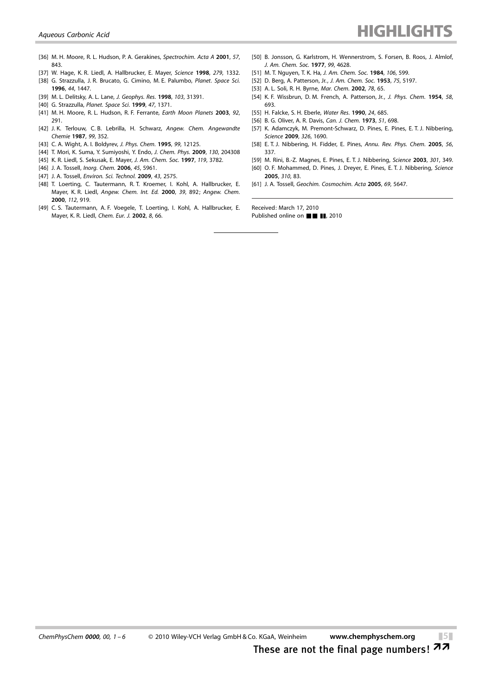- [36] M. H. Moore, R. L. Hudson, P. A. Gerakines, Spectrochim. Acta A 2001, 57, 843.
- [37] W. Hage, K. R. Liedl, A. Hallbrucker, E. Mayer, [Science](http://dx.doi.org/10.1126/science.279.5355.1332) 1998, 279, 1332.
- [38] G. Strazzulla, J. R. Brucato, G. Cimino, M. E. Palumbo, [Planet. Space Sci.](http://dx.doi.org/10.1016/S0032-0633(96)00079-7) 1996, 44[, 1447.](http://dx.doi.org/10.1016/S0032-0633(96)00079-7)
- [39] M. L. Delitsky, A. L. Lane, [J. Geophys. Res.](http://dx.doi.org/10.1029/1998JE900020) 1998, 103, 31391.
- [40] G. Strazzulla, [Planet. Space Sci.](http://dx.doi.org/10.1016/S0032-0633(99)00058-6) 1999, 47, 1371.
- [41] M. H. Moore, R. L. Hudson, R. F. Ferrante, [Earth Moon Planets](http://dx.doi.org/10.1023/B:MOON.0000031946.53696.f6) 2003, 92, [291.](http://dx.doi.org/10.1023/B:MOON.0000031946.53696.f6)
- [42] J.K. Terlouw, C.B. Lebrilla, H. Schwarz, [Angew. Chem. Angewandte](http://dx.doi.org/10.1002/ange.19870990418) [Chemie](http://dx.doi.org/10.1002/ange.19870990418) 1987, 99, 352.
- [43] C. A. Wight, A. I. Boldyrey, [J. Phys. Chem.](http://dx.doi.org/10.1021/j100032a012) 1995, 99, 12125.
- [44] T. Mori, K. Suma, Y. Sumiyoshi, Y. Endo, [J. Chem. Phys.](http://dx.doi.org/10.1063/1.3141405) 2009, 130, 204308
- [45] K. R. Liedl, S. Sekusak, E. Mayer, [J. Am. Chem. Soc.](http://dx.doi.org/10.1021/ja961802q) 1997, 119, 3782.
- [46] J. A. Tossell, [Inorg. Chem.](http://dx.doi.org/10.1021/ic060459f) 2006, 45, 5961.
- [47] J. A. Tossell, [Environ. Sci. Technol.](http://dx.doi.org/10.1021/es802393s) 2009, 43, 2575.
- [48] T. Loerting, C. Tautermann, R. T. Kroemer, I. Kohl, A. Hallbrucker, E. Mayer, K. R. Liedl, Angew. Chem. Int. Ed. 2000, 39, 892; [Angew. Chem.](http://dx.doi.org/10.1002/(SICI)1521-3757(20000303)112:5%3C919::AID-ANGE919%3E3.0.CO;2-Y) [2000](http://dx.doi.org/10.1002/(SICI)1521-3757(20000303)112:5%3C919::AID-ANGE919%3E3.0.CO;2-Y), 112, 919.
- [49] C. S. Tautermann, A. F. Voegele, T. Loerting, I. Kohl, A. Hallbrucker, E. Mayer, K. R. Liedl, [Chem. Eur. J.](http://dx.doi.org/10.1002/1521-3765(20020104)8:1%3C66::AID-CHEM66%3E3.0.CO;2-F) 2002, 8, 66.
- [50] B. Jonsson, G. Karlstrom, H. Wennerstrom, S. Forsen, B. Roos, J. Almlof, [J. Am. Chem. Soc.](http://dx.doi.org/10.1021/ja00456a018) 1977, 99, 4628.
- [51] M. T. Nguyen, T. K. Ha, J. Am. Chem. Soc. 1984, 106, 599.
- [52] D. Berg, A. Patterson, Jr., [J. Am. Chem. Soc.](http://dx.doi.org/10.1021/ja01117a015) 1953, 75, 5197.
- [53] A. L. Soli, R. H. Byrne, Mar. Chem. 2002, 78, 65.
- [54] K. F. Wissbrun, D. M. French, A. Patterson, Jr., [J. Phys. Chem.](http://dx.doi.org/10.1021/j150519a004) 1954, 58, [693.](http://dx.doi.org/10.1021/j150519a004)
- [55] H. Falcke, S. H. Eberle, [Water Res.](http://dx.doi.org/10.1016/0043-1354(90)90023-Y) 1990, 24, 685.
- [56] B. G. Oliver, A. R. Davis, [Can. J. Chem.](http://dx.doi.org/10.1139/v73-106) 1973, 51, 698.
- [57] K. Adamczyk, M. Premont-Schwarz, D. Pines, E. Pines, E. T. J. Nibbering, [Science](http://dx.doi.org/10.1126/science.1180060) 2009, 326, 1690.
- [58] E. T. J. Nibbering, H. Fidder, E. Pines, [Annu. Rev. Phys. Chem.](http://dx.doi.org/10.1146/annurev.physchem.56.092503.141314) 2005, 56, [337.](http://dx.doi.org/10.1146/annurev.physchem.56.092503.141314)
- [59] M. Rini, B.-Z. Magnes, E. Pines, E. T. J. Nibbering, [Science](http://dx.doi.org/10.1126/science.1085762) 2003, 301, 349.
- [60] O. F. Mohammed, D. Pines, J. Dreyer, E. Pines, E. T. J. Nibbering, [Science](http://dx.doi.org/10.1126/science.1117756) [2005](http://dx.doi.org/10.1126/science.1117756), 310, 83.
- [61] J. A. Tossell, [Geochim. Cosmochim. Acta](http://dx.doi.org/10.1016/j.gca.2005.08.004) 2005, 69, 5647.

Received: March 17, 2010 Published online on  $\blacksquare$   $\blacksquare$ , 2010